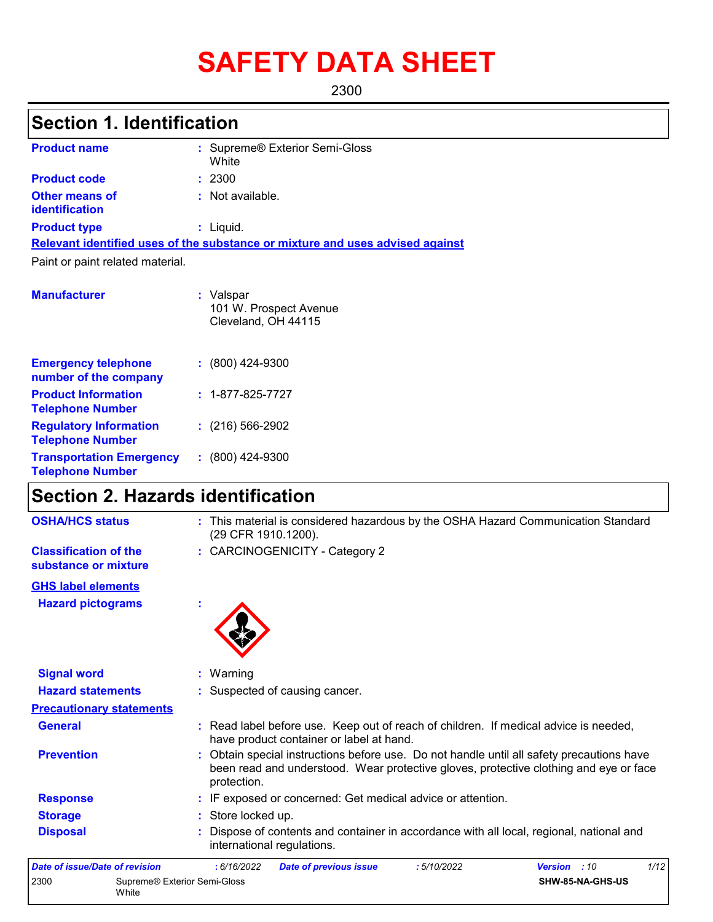# **SAFETY DATA SHEET**

2300

# **Section 1. Identification**

| <b>Product name</b>                            | : Supreme® Exterior Semi-Gloss<br>White                                       |
|------------------------------------------------|-------------------------------------------------------------------------------|
| <b>Product code</b>                            | : 2300                                                                        |
| <b>Other means of</b><br><b>identification</b> | : Not available.                                                              |
| <b>Product type</b>                            | $:$ Liquid.                                                                   |
|                                                | Relevant identified uses of the substance or mixture and uses advised against |
| Paint or paint related material.               |                                                                               |
| <b>Manufacturer</b>                            | Valspar                                                                       |

|                                                            | 101 W. Prospect Avenue<br>Cleveland, OH 44115 |
|------------------------------------------------------------|-----------------------------------------------|
| <b>Emergency telephone</b><br>number of the company        | $: (800)$ 424-9300                            |
| <b>Product Information</b><br><b>Telephone Number</b>      | $: 1 - 877 - 825 - 7727$                      |
| <b>Regulatory Information</b><br><b>Telephone Number</b>   | $: (216) 566 - 2902$                          |
| <b>Transportation Emergency</b><br><b>Telephone Number</b> | $: (800)$ 424-9300                            |

# **Section 2. Hazards identification**

White

| <b>OSHA/HCS status</b>                               | : This material is considered hazardous by the OSHA Hazard Communication Standard<br>(29 CFR 1910.1200).                                                                                        |
|------------------------------------------------------|-------------------------------------------------------------------------------------------------------------------------------------------------------------------------------------------------|
| <b>Classification of the</b><br>substance or mixture | : CARCINOGENICITY - Category 2                                                                                                                                                                  |
| <b>GHS label elements</b>                            |                                                                                                                                                                                                 |
| <b>Hazard pictograms</b>                             |                                                                                                                                                                                                 |
| <b>Signal word</b>                                   | Warning                                                                                                                                                                                         |
| <b>Hazard statements</b>                             | Suspected of causing cancer.                                                                                                                                                                    |
| <b>Precautionary statements</b>                      |                                                                                                                                                                                                 |
| <b>General</b>                                       | : Read label before use. Keep out of reach of children. If medical advice is needed,<br>have product container or label at hand.                                                                |
| <b>Prevention</b>                                    | Obtain special instructions before use. Do not handle until all safety precautions have<br>been read and understood. Wear protective gloves, protective clothing and eye or face<br>protection. |
| <b>Response</b>                                      | : IF exposed or concerned: Get medical advice or attention.                                                                                                                                     |
| <b>Storage</b>                                       | : Store locked up.                                                                                                                                                                              |
| <b>Disposal</b>                                      | Dispose of contents and container in accordance with all local, regional, national and<br>international regulations.                                                                            |
| Date of issue/Date of revision                       | : 6/16/2022<br>:5/10/2022<br>Version : 10<br>1/12<br><b>Date of previous issue</b>                                                                                                              |
| 2300                                                 | Supreme® Exterior Semi-Gloss<br>SHW-85-NA-GHS-US                                                                                                                                                |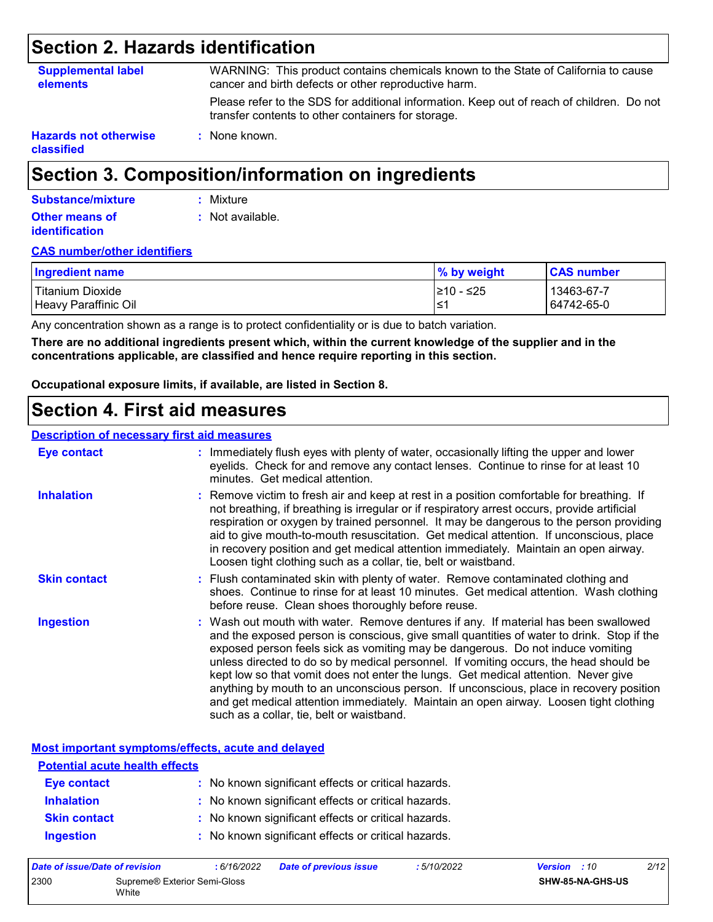### **Section 2. Hazards identification**

| <b>Supplemental label</b><br><b>elements</b> | WARNING: This product contains chemicals known to the State of California to cause<br>cancer and birth defects or other reproductive harm.      |
|----------------------------------------------|-------------------------------------------------------------------------------------------------------------------------------------------------|
|                                              | Please refer to the SDS for additional information. Keep out of reach of children. Do not<br>transfer contents to other containers for storage. |
| <b>Hazards not otherwise</b><br>classified   | : None known.                                                                                                                                   |

### **Section 3. Composition/information on ingredients**

| Substance/mixture                              | : Mixture        |
|------------------------------------------------|------------------|
| <b>Other means of</b><br><b>identification</b> | : Not available. |

#### **CAS number/other identifiers**

| Ingredient name      | % by weight | <b>CAS number</b> |
|----------------------|-------------|-------------------|
| Titanium Dioxide     | l≥10 - ≤25  | 13463-67-7        |
| Heavy Paraffinic Oil | ∙≥′         | 64742-65-0        |

Any concentration shown as a range is to protect confidentiality or is due to batch variation.

**There are no additional ingredients present which, within the current knowledge of the supplier and in the concentrations applicable, are classified and hence require reporting in this section.**

**Occupational exposure limits, if available, are listed in Section 8.**

### **Section 4. First aid measures**

#### **Description of necessary first aid measures**

| <b>Eye contact</b>  | : Immediately flush eyes with plenty of water, occasionally lifting the upper and lower<br>eyelids. Check for and remove any contact lenses. Continue to rinse for at least 10<br>minutes. Get medical attention.                                                                                                                                                                                                                                                                                                                                                                                                                                                                 |
|---------------------|-----------------------------------------------------------------------------------------------------------------------------------------------------------------------------------------------------------------------------------------------------------------------------------------------------------------------------------------------------------------------------------------------------------------------------------------------------------------------------------------------------------------------------------------------------------------------------------------------------------------------------------------------------------------------------------|
| <b>Inhalation</b>   | : Remove victim to fresh air and keep at rest in a position comfortable for breathing. If<br>not breathing, if breathing is irregular or if respiratory arrest occurs, provide artificial<br>respiration or oxygen by trained personnel. It may be dangerous to the person providing<br>aid to give mouth-to-mouth resuscitation. Get medical attention. If unconscious, place<br>in recovery position and get medical attention immediately. Maintain an open airway.<br>Loosen tight clothing such as a collar, tie, belt or waistband.                                                                                                                                         |
| <b>Skin contact</b> | : Flush contaminated skin with plenty of water. Remove contaminated clothing and<br>shoes. Continue to rinse for at least 10 minutes. Get medical attention. Wash clothing<br>before reuse. Clean shoes thoroughly before reuse.                                                                                                                                                                                                                                                                                                                                                                                                                                                  |
| Ingestion           | : Wash out mouth with water. Remove dentures if any. If material has been swallowed<br>and the exposed person is conscious, give small quantities of water to drink. Stop if the<br>exposed person feels sick as vomiting may be dangerous. Do not induce vomiting<br>unless directed to do so by medical personnel. If vomiting occurs, the head should be<br>kept low so that vomit does not enter the lungs. Get medical attention. Never give<br>anything by mouth to an unconscious person. If unconscious, place in recovery position<br>and get medical attention immediately. Maintain an open airway. Loosen tight clothing<br>such as a collar, tie, belt or waistband. |

**Most important symptoms/effects, acute and delayed**

| <b>Potential acute health effects</b> |                                                     |  |  |  |  |
|---------------------------------------|-----------------------------------------------------|--|--|--|--|
| <b>Eye contact</b>                    | : No known significant effects or critical hazards. |  |  |  |  |
| <b>Inhalation</b>                     | : No known significant effects or critical hazards. |  |  |  |  |
| <b>Skin contact</b>                   | : No known significant effects or critical hazards. |  |  |  |  |
| <b>Ingestion</b>                      | : No known significant effects or critical hazards. |  |  |  |  |

| Date of issue/Date of revision |                                       | : 6/16/2022 | <b>Date of previous issue</b> | 5/10/2022 | <b>Version</b> : 10 |                  | 2/12 |
|--------------------------------|---------------------------------------|-------------|-------------------------------|-----------|---------------------|------------------|------|
| 2300                           | Supreme® Exterior Semi-Gloss<br>White |             |                               |           |                     | SHW-85-NA-GHS-US |      |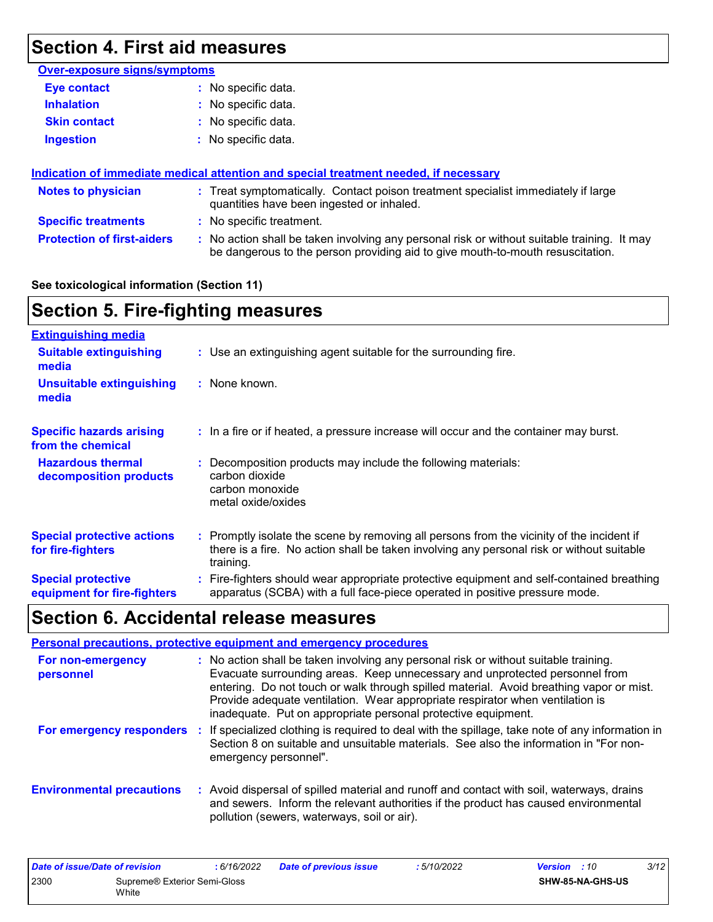# **Section 4. First aid measures**

| <b>Over-exposure signs/symptoms</b> |                                                                                                                                                                               |
|-------------------------------------|-------------------------------------------------------------------------------------------------------------------------------------------------------------------------------|
| Eye contact                         | : No specific data.                                                                                                                                                           |
| <b>Inhalation</b>                   | : No specific data.                                                                                                                                                           |
| <b>Skin contact</b>                 | : No specific data.                                                                                                                                                           |
| <b>Ingestion</b>                    | : No specific data.                                                                                                                                                           |
|                                     |                                                                                                                                                                               |
|                                     | Indication of immediate medical attention and special treatment needed, if necessary                                                                                          |
| <b>Notes to physician</b>           | : Treat symptomatically. Contact poison treatment specialist immediately if large<br>quantities have been ingested or inhaled.                                                |
| <b>Specific treatments</b>          | : No specific treatment.                                                                                                                                                      |
| <b>Protection of first-aiders</b>   | : No action shall be taken involving any personal risk or without suitable training. It may<br>be dangerous to the person providing aid to give mouth-to-mouth resuscitation. |

#### **See toxicological information (Section 11)**

# **Section 5. Fire-fighting measures**

| <b>Extinguishing media</b>                               |                                                                                                                                                                                                     |
|----------------------------------------------------------|-----------------------------------------------------------------------------------------------------------------------------------------------------------------------------------------------------|
| <b>Suitable extinguishing</b><br>media                   | : Use an extinguishing agent suitable for the surrounding fire.                                                                                                                                     |
| <b>Unsuitable extinguishing</b><br>media                 | : None known.                                                                                                                                                                                       |
| <b>Specific hazards arising</b><br>from the chemical     | : In a fire or if heated, a pressure increase will occur and the container may burst.                                                                                                               |
| <b>Hazardous thermal</b><br>decomposition products       | : Decomposition products may include the following materials:<br>carbon dioxide<br>carbon monoxide<br>metal oxide/oxides                                                                            |
| <b>Special protective actions</b><br>for fire-fighters   | : Promptly isolate the scene by removing all persons from the vicinity of the incident if<br>there is a fire. No action shall be taken involving any personal risk or without suitable<br>training. |
| <b>Special protective</b><br>equipment for fire-fighters | Fire-fighters should wear appropriate protective equipment and self-contained breathing<br>apparatus (SCBA) with a full face-piece operated in positive pressure mode.                              |

# **Section 6. Accidental release measures**

|                                  | <b>Personal precautions, protective equipment and emergency procedures</b>                                                                                                                                                                                                                                                                                                                                       |
|----------------------------------|------------------------------------------------------------------------------------------------------------------------------------------------------------------------------------------------------------------------------------------------------------------------------------------------------------------------------------------------------------------------------------------------------------------|
| For non-emergency<br>personnel   | : No action shall be taken involving any personal risk or without suitable training.<br>Evacuate surrounding areas. Keep unnecessary and unprotected personnel from<br>entering. Do not touch or walk through spilled material. Avoid breathing vapor or mist.<br>Provide adequate ventilation. Wear appropriate respirator when ventilation is<br>inadequate. Put on appropriate personal protective equipment. |
| For emergency responders         | : If specialized clothing is required to deal with the spillage, take note of any information in<br>Section 8 on suitable and unsuitable materials. See also the information in "For non-<br>emergency personnel".                                                                                                                                                                                               |
| <b>Environmental precautions</b> | : Avoid dispersal of spilled material and runoff and contact with soil, waterways, drains<br>and sewers. Inform the relevant authorities if the product has caused environmental<br>pollution (sewers, waterways, soil or air).                                                                                                                                                                                  |

| Date of issue/Date of revision |                                       | 6/16/2022 | <b>Date of previous issue</b> | 5/10/2022 | <b>Version</b> : 10 | 3/12 |
|--------------------------------|---------------------------------------|-----------|-------------------------------|-----------|---------------------|------|
| 2300                           | Supreme® Exterior Semi-Gloss<br>White |           |                               |           | SHW-85-NA-GHS-US    |      |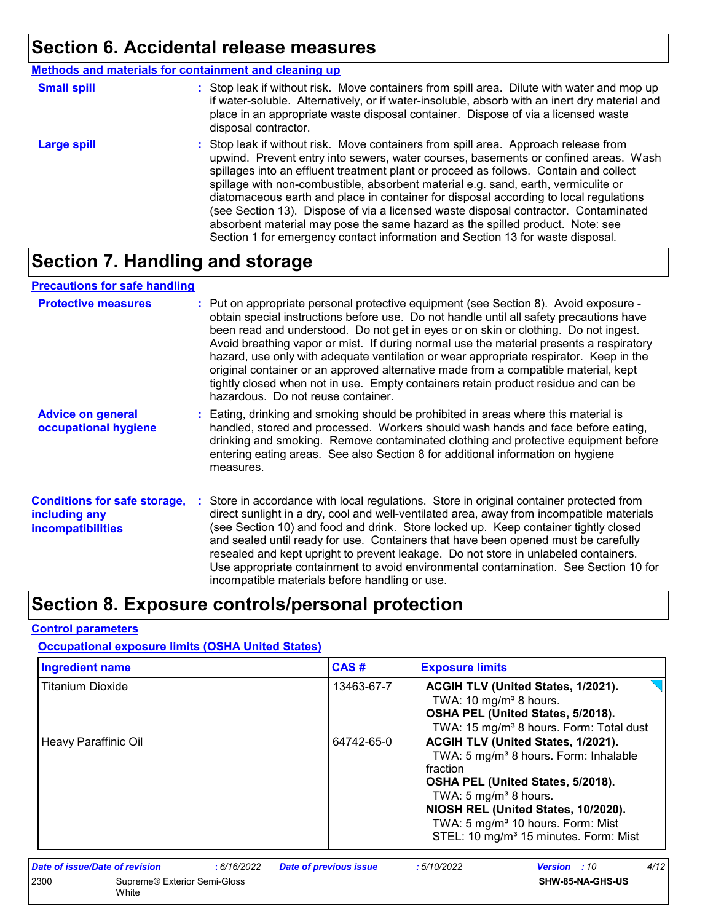### **Section 6. Accidental release measures**

|                    | <b>Methods and materials for containment and cleaning up</b>                                                                                                                                                                                                                                                                                                                                                                                                                                                                                                                                                                                                                                                 |
|--------------------|--------------------------------------------------------------------------------------------------------------------------------------------------------------------------------------------------------------------------------------------------------------------------------------------------------------------------------------------------------------------------------------------------------------------------------------------------------------------------------------------------------------------------------------------------------------------------------------------------------------------------------------------------------------------------------------------------------------|
| <b>Small spill</b> | : Stop leak if without risk. Move containers from spill area. Dilute with water and mop up<br>if water-soluble. Alternatively, or if water-insoluble, absorb with an inert dry material and<br>place in an appropriate waste disposal container. Dispose of via a licensed waste<br>disposal contractor.                                                                                                                                                                                                                                                                                                                                                                                                     |
| <b>Large spill</b> | : Stop leak if without risk. Move containers from spill area. Approach release from<br>upwind. Prevent entry into sewers, water courses, basements or confined areas. Wash<br>spillages into an effluent treatment plant or proceed as follows. Contain and collect<br>spillage with non-combustible, absorbent material e.g. sand, earth, vermiculite or<br>diatomaceous earth and place in container for disposal according to local regulations<br>(see Section 13). Dispose of via a licensed waste disposal contractor. Contaminated<br>absorbent material may pose the same hazard as the spilled product. Note: see<br>Section 1 for emergency contact information and Section 13 for waste disposal. |

# **Section 7. Handling and storage**

#### **Precautions for safe handling**

| <b>Protective measures</b>                                                       | : Put on appropriate personal protective equipment (see Section 8). Avoid exposure -<br>obtain special instructions before use. Do not handle until all safety precautions have<br>been read and understood. Do not get in eyes or on skin or clothing. Do not ingest.<br>Avoid breathing vapor or mist. If during normal use the material presents a respiratory<br>hazard, use only with adequate ventilation or wear appropriate respirator. Keep in the<br>original container or an approved alternative made from a compatible material, kept<br>tightly closed when not in use. Empty containers retain product residue and can be<br>hazardous. Do not reuse container. |
|----------------------------------------------------------------------------------|--------------------------------------------------------------------------------------------------------------------------------------------------------------------------------------------------------------------------------------------------------------------------------------------------------------------------------------------------------------------------------------------------------------------------------------------------------------------------------------------------------------------------------------------------------------------------------------------------------------------------------------------------------------------------------|
| <b>Advice on general</b><br>occupational hygiene                                 | : Eating, drinking and smoking should be prohibited in areas where this material is<br>handled, stored and processed. Workers should wash hands and face before eating,<br>drinking and smoking. Remove contaminated clothing and protective equipment before<br>entering eating areas. See also Section 8 for additional information on hygiene<br>measures.                                                                                                                                                                                                                                                                                                                  |
| <b>Conditions for safe storage,</b><br>including any<br><b>incompatibilities</b> | Store in accordance with local regulations. Store in original container protected from<br>direct sunlight in a dry, cool and well-ventilated area, away from incompatible materials<br>(see Section 10) and food and drink. Store locked up. Keep container tightly closed<br>and sealed until ready for use. Containers that have been opened must be carefully<br>resealed and kept upright to prevent leakage. Do not store in unlabeled containers.<br>Use appropriate containment to avoid environmental contamination. See Section 10 for<br>incompatible materials before handling or use.                                                                              |

# **Section 8. Exposure controls/personal protection**

#### **Control parameters**

#### **Occupational exposure limits (OSHA United States)**

| <b>Ingredient name</b>  |                                                                                                   | CAS#                          | <b>Exposure limits</b>                                                                                                                                                                                                                                                                                           |
|-------------------------|---------------------------------------------------------------------------------------------------|-------------------------------|------------------------------------------------------------------------------------------------------------------------------------------------------------------------------------------------------------------------------------------------------------------------------------------------------------------|
| <b>Titanium Dioxide</b> |                                                                                                   | 13463-67-7                    | ACGIH TLV (United States, 1/2021).<br>TWA: 10 mg/m <sup>3</sup> 8 hours.<br>OSHA PEL (United States, 5/2018).<br>TWA: 15 mg/m <sup>3</sup> 8 hours. Form: Total dust                                                                                                                                             |
| Heavy Paraffinic Oil    |                                                                                                   | 64742-65-0                    | ACGIH TLV (United States, 1/2021).<br>TWA: 5 mg/m <sup>3</sup> 8 hours. Form: Inhalable<br>fraction<br>OSHA PEL (United States, 5/2018).<br>TWA: 5 $mg/m3$ 8 hours.<br>NIOSH REL (United States, 10/2020).<br>TWA: 5 mg/m <sup>3</sup> 10 hours. Form: Mist<br>STEL: 10 mg/m <sup>3</sup> 15 minutes. Form: Mist |
|                         |                                                                                                   |                               |                                                                                                                                                                                                                                                                                                                  |
| 2300                    | Date of issue/Date of revision<br>:6/16/2022<br>Supreme <sup>®</sup> Exterior Semi-Gloss<br>White | <b>Date of previous issue</b> | 4/12<br>: 5/10/2022<br><b>Version</b> : 10<br>SHW-85-NA-GHS-US                                                                                                                                                                                                                                                   |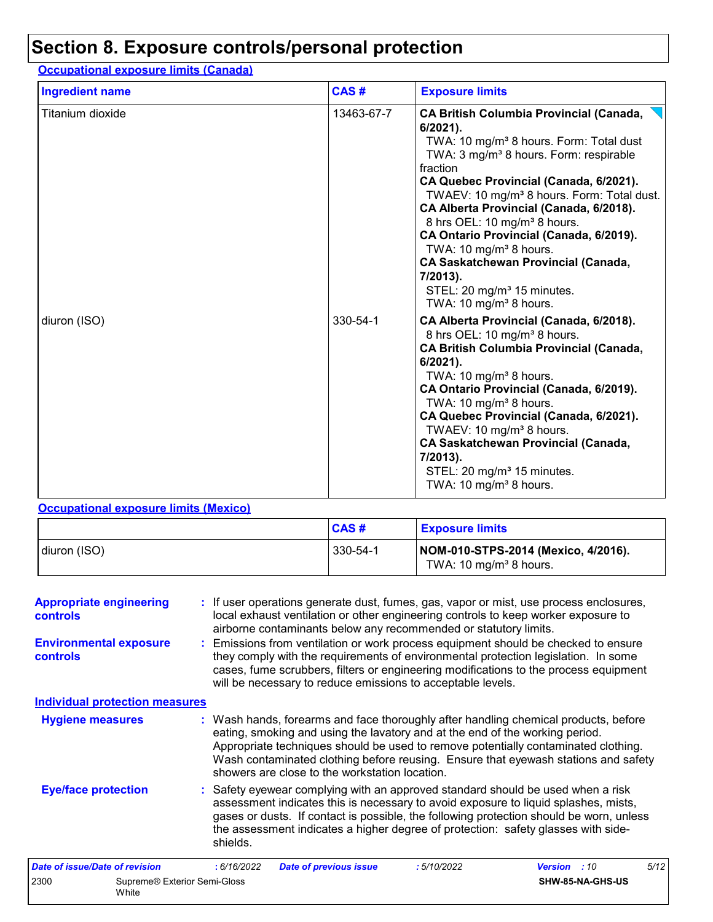### **Section 8. Exposure controls/personal protection**

#### Titanium dioxide 13463-67-7 **CA British Columbia Provincial (Canada, 6/2021).** TWA: 10 mg/m<sup>3</sup> 8 hours. Form: Total dust TWA: 3 mg/m<sup>3</sup> 8 hours. Form: respirable fraction **CA Quebec Provincial (Canada, 6/2021).** TWAEV: 10 mg/m<sup>3</sup> 8 hours. Form: Total dust. **CA Alberta Provincial (Canada, 6/2018).** 8 hrs OEL: 10 mg/m<sup>3</sup> 8 hours. **CA Ontario Provincial (Canada, 6/2019).** TWA:  $10 \text{ mg/m}^3$  8 hours. **CA Saskatchewan Provincial (Canada, 7/2013).** STEL: 20 mg/m<sup>3</sup> 15 minutes. TWA:  $10 \text{ mg/m}^3$  8 hours. diuron (ISO) 330-54-1 **CA Alberta Provincial (Canada, 6/2018).** 8 hrs OEL: 10 mg/m<sup>3</sup> 8 hours. **CA British Columbia Provincial (Canada, 6/2021).** TWA:  $10 \text{ mg/m}^3$  8 hours. **CA Ontario Provincial (Canada, 6/2019).** TWA: 10 mg/m $3$  8 hours. **CA Quebec Provincial (Canada, 6/2021).** TWAEV: 10 mg/m $3$  8 hours. **CA Saskatchewan Provincial (Canada, 7/2013).** STEL: 20 mg/m<sup>3</sup> 15 minutes. TWA: 10 mg/m $3$  8 hours. **Ingredient name Exposure limits Exposure limits Occupational exposure limits (Canada) CAS #**

#### **Occupational exposure limits (Mexico)**

|              | CAS#     | <u>l Exposure limits</u>                                                  |
|--------------|----------|---------------------------------------------------------------------------|
| diuron (ISO) | 330-54-1 | NOM-010-STPS-2014 (Mexico, 4/2016).<br>TWA: 10 mg/m <sup>3</sup> 8 hours. |

| <b>Appropriate engineering</b><br><b>controls</b><br><b>Environmental exposure</b><br><b>controls</b> |                                       |             | : If user operations generate dust, fumes, gas, vapor or mist, use process enclosures,<br>local exhaust ventilation or other engineering controls to keep worker exposure to<br>airborne contaminants below any recommended or statutory limits.<br>: Emissions from ventilation or work process equipment should be checked to ensure<br>they comply with the requirements of environmental protection legislation. In some<br>cases, fume scrubbers, filters or engineering modifications to the process equipment<br>will be necessary to reduce emissions to acceptable levels. |            |                     |                  |      |
|-------------------------------------------------------------------------------------------------------|---------------------------------------|-------------|-------------------------------------------------------------------------------------------------------------------------------------------------------------------------------------------------------------------------------------------------------------------------------------------------------------------------------------------------------------------------------------------------------------------------------------------------------------------------------------------------------------------------------------------------------------------------------------|------------|---------------------|------------------|------|
|                                                                                                       | <b>Individual protection measures</b> |             |                                                                                                                                                                                                                                                                                                                                                                                                                                                                                                                                                                                     |            |                     |                  |      |
| <b>Hygiene measures</b>                                                                               |                                       |             | : Wash hands, forearms and face thoroughly after handling chemical products, before<br>eating, smoking and using the lavatory and at the end of the working period.<br>Appropriate techniques should be used to remove potentially contaminated clothing.<br>Wash contaminated clothing before reusing. Ensure that eyewash stations and safety<br>showers are close to the workstation location.                                                                                                                                                                                   |            |                     |                  |      |
| <b>Eye/face protection</b>                                                                            |                                       | shields.    | : Safety eyewear complying with an approved standard should be used when a risk<br>assessment indicates this is necessary to avoid exposure to liquid splashes, mists,<br>gases or dusts. If contact is possible, the following protection should be worn, unless<br>the assessment indicates a higher degree of protection: safety glasses with side-                                                                                                                                                                                                                              |            |                     |                  |      |
| <b>Date of issue/Date of revision</b>                                                                 |                                       | : 6/16/2022 | <b>Date of previous issue</b>                                                                                                                                                                                                                                                                                                                                                                                                                                                                                                                                                       | :5/10/2022 | <b>Version</b> : 10 |                  | 5/12 |
| 2300                                                                                                  | Supreme® Exterior Semi-Gloss<br>White |             |                                                                                                                                                                                                                                                                                                                                                                                                                                                                                                                                                                                     |            |                     | SHW-85-NA-GHS-US |      |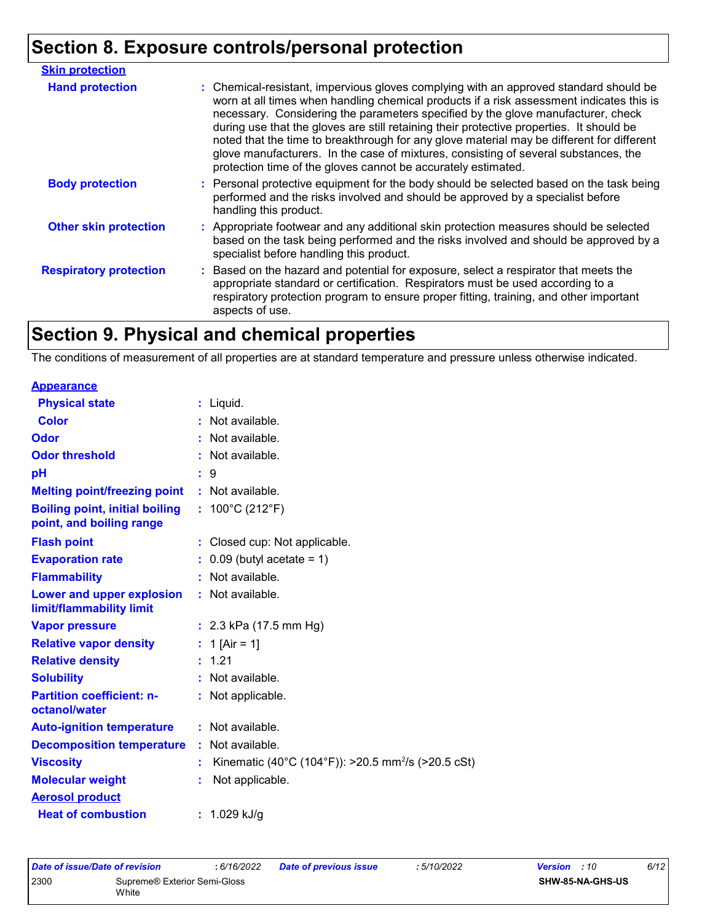# **Section 8. Exposure controls/personal protection**

| <b>Skin protection</b>        |                                                                                                                                                                                                                                                                                                                                                                                                                                                                                                                                                                                                                        |
|-------------------------------|------------------------------------------------------------------------------------------------------------------------------------------------------------------------------------------------------------------------------------------------------------------------------------------------------------------------------------------------------------------------------------------------------------------------------------------------------------------------------------------------------------------------------------------------------------------------------------------------------------------------|
| <b>Hand protection</b>        | : Chemical-resistant, impervious gloves complying with an approved standard should be<br>worn at all times when handling chemical products if a risk assessment indicates this is<br>necessary. Considering the parameters specified by the glove manufacturer, check<br>during use that the gloves are still retaining their protective properties. It should be<br>noted that the time to breakthrough for any glove material may be different for different<br>glove manufacturers. In the case of mixtures, consisting of several substances, the<br>protection time of the gloves cannot be accurately estimated. |
| <b>Body protection</b>        | : Personal protective equipment for the body should be selected based on the task being<br>performed and the risks involved and should be approved by a specialist before<br>handling this product.                                                                                                                                                                                                                                                                                                                                                                                                                    |
| <b>Other skin protection</b>  | : Appropriate footwear and any additional skin protection measures should be selected<br>based on the task being performed and the risks involved and should be approved by a<br>specialist before handling this product.                                                                                                                                                                                                                                                                                                                                                                                              |
| <b>Respiratory protection</b> | : Based on the hazard and potential for exposure, select a respirator that meets the<br>appropriate standard or certification. Respirators must be used according to a<br>respiratory protection program to ensure proper fitting, training, and other important<br>aspects of use.                                                                                                                                                                                                                                                                                                                                    |

# **Section 9. Physical and chemical properties**

The conditions of measurement of all properties are at standard temperature and pressure unless otherwise indicated.

| <b>Appearance</b>                                                 |    |                                                                |
|-------------------------------------------------------------------|----|----------------------------------------------------------------|
| <b>Physical state</b>                                             |    | $:$ Liquid.                                                    |
| <b>Color</b>                                                      |    | : Not available.                                               |
| Odor                                                              |    | : Not available.                                               |
| <b>Odor threshold</b>                                             |    | Not available.                                                 |
| pH                                                                |    | $\therefore$ 9                                                 |
| <b>Melting point/freezing point</b>                               |    | : Not available.                                               |
| <b>Boiling point, initial boiling</b><br>point, and boiling range |    | : $100^{\circ}$ C (212 $^{\circ}$ F)                           |
| <b>Flash point</b>                                                |    | : Closed cup: Not applicable.                                  |
| <b>Evaporation rate</b>                                           |    | $0.09$ (butyl acetate = 1)                                     |
| <b>Flammability</b>                                               |    | : Not available.                                               |
| Lower and upper explosion<br>limit/flammability limit             | ÷. | Not available.                                                 |
| <b>Vapor pressure</b>                                             |    | : $2.3$ kPa (17.5 mm Hg)                                       |
| <b>Relative vapor density</b>                                     |    | : 1 [Air = 1]                                                  |
| <b>Relative density</b>                                           |    | : 1.21                                                         |
| <b>Solubility</b>                                                 |    | : Not available.                                               |
| <b>Partition coefficient: n-</b><br>octanol/water                 | ÷. | Not applicable.                                                |
| <b>Auto-ignition temperature</b>                                  |    | : Not available.                                               |
| <b>Decomposition temperature</b>                                  | ÷. | Not available.                                                 |
| <b>Viscosity</b>                                                  |    | Kinematic (40°C (104°F)): >20.5 mm <sup>2</sup> /s (>20.5 cSt) |
| <b>Molecular weight</b>                                           |    | Not applicable.                                                |
| <b>Aerosol product</b>                                            |    |                                                                |
| <b>Heat of combustion</b>                                         |    | : $1.029$ kJ/g                                                 |

| Date of issue/Date of revision |                              | 6/16/2022 | <b>Date of previous issue</b> | : 5/10/2022 | <b>Version</b> : 10 | 6/12 |
|--------------------------------|------------------------------|-----------|-------------------------------|-------------|---------------------|------|
| 2300                           | Supreme® Exterior Semi-Gloss |           |                               |             | SHW-85-NA-GHS-US    |      |
| White                          |                              |           |                               |             |                     |      |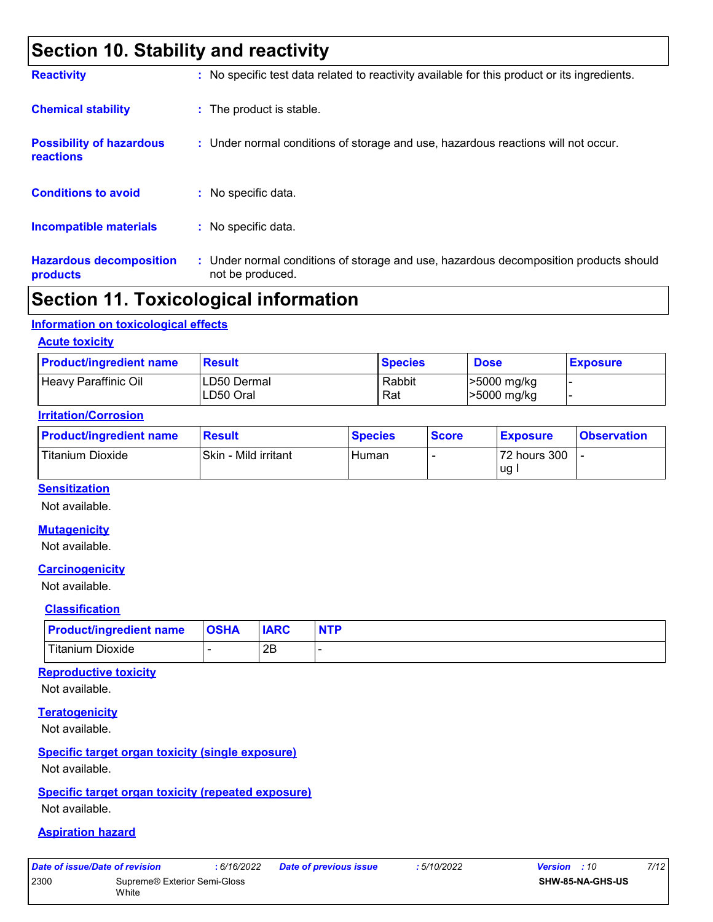### **Section 10. Stability and reactivity**

| <b>Reactivity</b>                            | : No specific test data related to reactivity available for this product or its ingredients.              |
|----------------------------------------------|-----------------------------------------------------------------------------------------------------------|
| <b>Chemical stability</b>                    | : The product is stable.                                                                                  |
| <b>Possibility of hazardous</b><br>reactions | : Under normal conditions of storage and use, hazardous reactions will not occur.                         |
| <b>Conditions to avoid</b>                   | $:$ No specific data.                                                                                     |
| <b>Incompatible materials</b>                | : No specific data.                                                                                       |
| <b>Hazardous decomposition</b><br>products   | : Under normal conditions of storage and use, hazardous decomposition products should<br>not be produced. |

### **Section 11. Toxicological information**

#### **Information on toxicological effects**

#### **Acute toxicity**

| <b>Product/ingredient name</b> | <b>Result</b>             | <b>Species</b> | <b>Dose</b>                | <b>Exposure</b> |
|--------------------------------|---------------------------|----------------|----------------------------|-----------------|
| Heavy Paraffinic Oil           | ILD50 Dermal<br>LD50 Oral | Rabbit<br>Rat  | >5000 mg/kg<br>>5000 mg/kg |                 |

#### **Irritation/Corrosion**

| <b>Product/ingredient name</b> | <b>Result</b>        | <b>Species</b> | <b>Score</b> | <b>Exposure</b> | <b>Observation</b> |
|--------------------------------|----------------------|----------------|--------------|-----------------|--------------------|
| Titanium Dioxide               | Skin - Mild irritant | Human          |              | 72 hours 300    |                    |
|                                |                      |                |              | ug              |                    |

#### **Sensitization**

Not available.

#### **Mutagenicity**

Not available.

#### **Carcinogenicity**

Not available.

#### **Classification**

| <b>Product/ingredient name   OSHA</b> | <b>IARC</b> | <b>NTP</b> |
|---------------------------------------|-------------|------------|
| Titanium Dioxide                      | ם ∩<br>ZD   |            |

#### **Reproductive toxicity**

Not available.

#### **Teratogenicity**

Not available.

### **Specific target organ toxicity (single exposure)**

Not available.

#### **Specific target organ toxicity (repeated exposure)** Not available.

#### **Aspiration hazard**

| Date of issue/Date of revision |                                       | : 6/16/2022 | <b>Date of previous issue</b> | : 5/10/2022 | <b>Version</b> : 10     | 7/12 |
|--------------------------------|---------------------------------------|-------------|-------------------------------|-------------|-------------------------|------|
| 2300                           | Supreme® Exterior Semi-Gloss<br>White |             |                               |             | <b>SHW-85-NA-GHS-US</b> |      |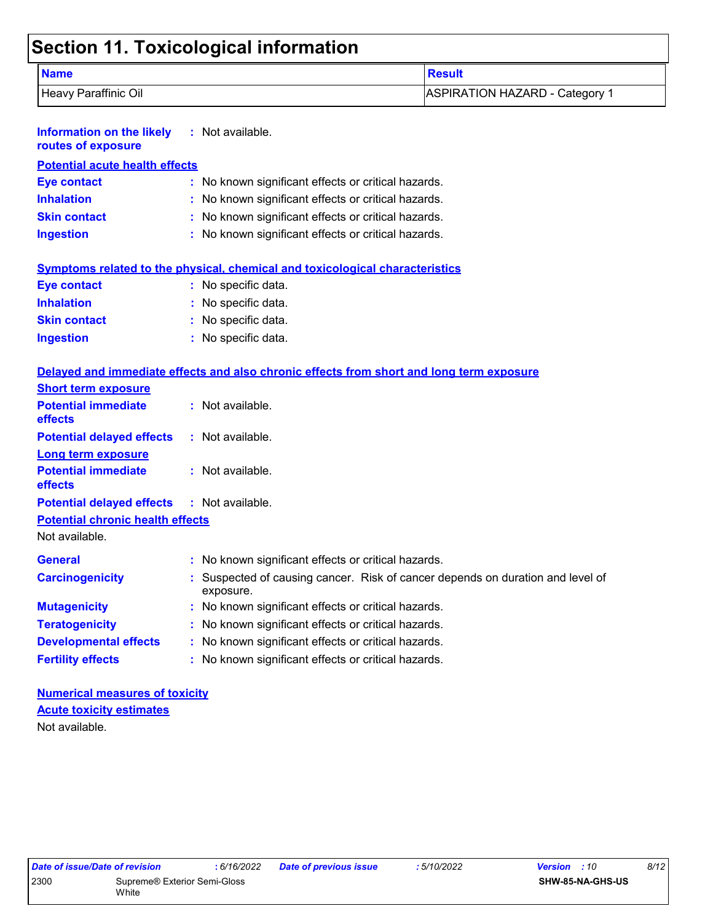# **Section 11. Toxicological information**

| <b>Name</b>          | <b>Result</b>                  |
|----------------------|--------------------------------|
| Heavy Paraffinic Oil | ASPIRATION HAZARD - Category 1 |

| <b>Information on the likely</b><br>routes of exposure | $:$ Not available.                                                                          |
|--------------------------------------------------------|---------------------------------------------------------------------------------------------|
| <b>Potential acute health effects</b>                  |                                                                                             |
| <b>Eye contact</b>                                     | : No known significant effects or critical hazards.                                         |
| <b>Inhalation</b>                                      | : No known significant effects or critical hazards.                                         |
| <b>Skin contact</b>                                    | No known significant effects or critical hazards.                                           |
| <b>Ingestion</b>                                       | : No known significant effects or critical hazards.                                         |
|                                                        | Symptoms related to the physical, chemical and toxicological characteristics                |
| <b>Eye contact</b>                                     | : No specific data.                                                                         |
| <b>Inhalation</b>                                      | No specific data.                                                                           |
| <b>Skin contact</b>                                    | : No specific data.                                                                         |
| <b>Ingestion</b>                                       | : No specific data.                                                                         |
| <b>Short term exposure</b>                             | Delayed and immediate effects and also chronic effects from short and long term exposure    |
| <b>Potential immediate</b><br>effects                  | : Not available.                                                                            |
| <b>Potential delayed effects</b>                       | : Not available.                                                                            |
| <b>Long term exposure</b>                              |                                                                                             |
| <b>Potential immediate</b><br>effects                  | : Not available.                                                                            |
| <b>Potential delayed effects</b>                       | : Not available.                                                                            |
| <b>Potential chronic health effects</b>                |                                                                                             |
| Not available.                                         |                                                                                             |
| <b>General</b>                                         | : No known significant effects or critical hazards.                                         |
| <b>Carcinogenicity</b>                                 | : Suspected of causing cancer. Risk of cancer depends on duration and level of<br>exposure. |
| <b>Mutagenicity</b>                                    | No known significant effects or critical hazards.                                           |
| <b>Teratogenicity</b>                                  | No known significant effects or critical hazards.                                           |
| <b>Developmental effects</b>                           | : No known significant effects or critical hazards.                                         |
| <b>Fertility effects</b>                               | : No known significant effects or critical hazards.                                         |

#### **Numerical measures of toxicity** Not available. **Acute toxicity estimates**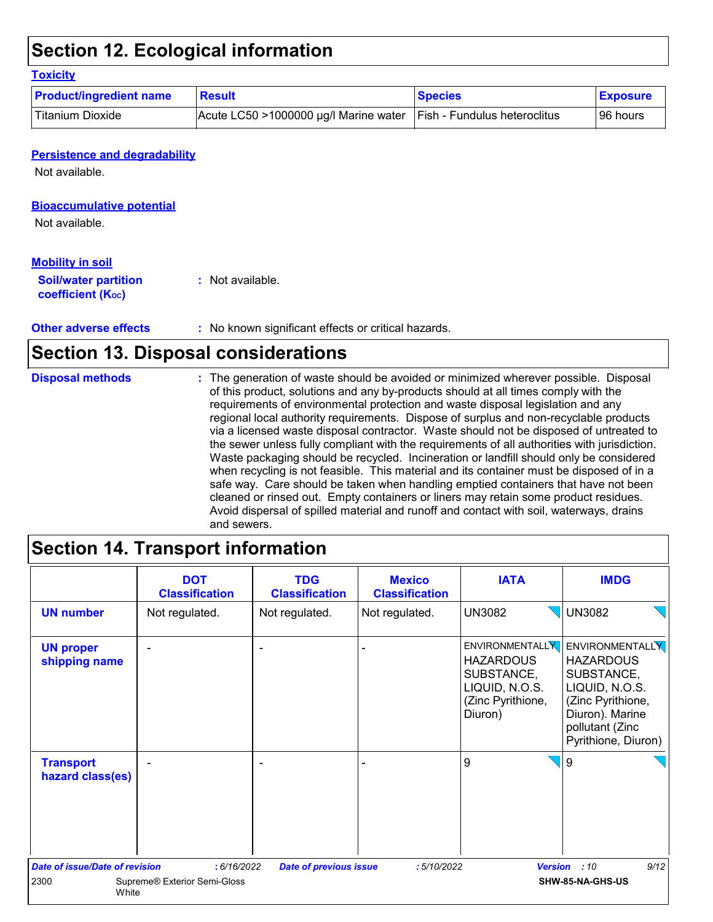### **Section 12. Ecological information**

| <b>Product/ingredient name</b> | <b>Result</b>                         | <b>Species</b>               | <b>Exposure</b> |
|--------------------------------|---------------------------------------|------------------------------|-----------------|
| <b>Titanium Dioxide</b>        | Acute LC50 >1000000 µg/l Marine water | Fish - Fundulus heteroclitus | 96 hours        |

#### **Persistence and degradability**

Not available.

#### **Bioaccumulative potential**

Not available.

#### **Mobility in soil**

| <b>Soil/water partition</b> | : Not available. |
|-----------------------------|------------------|
| <b>coefficient (Koc)</b>    |                  |

**Other adverse effects :** No known significant effects or critical hazards.

### **Section 13. Disposal considerations**

The generation of waste should be avoided or minimized wherever possible. Disposal of this product, solutions and any by-products should at all times comply with the requirements of environmental protection and waste disposal legislation and any regional local authority requirements. Dispose of surplus and non-recyclable products via a licensed waste disposal contractor. Waste should not be disposed of untreated to the sewer unless fully compliant with the requirements of all authorities with jurisdiction. Waste packaging should be recycled. Incineration or landfill should only be considered when recycling is not feasible. This material and its container must be disposed of in a safe way. Care should be taken when handling emptied containers that have not been cleaned or rinsed out. Empty containers or liners may retain some product residues. Avoid dispersal of spilled material and runoff and contact with soil, waterways, drains and sewers. **Disposal methods :**

### **Section 14. Transport information**

|                                       | <b>DOT</b><br><b>Classification</b> | <b>TDG</b><br><b>Classification</b> | <b>Mexico</b><br><b>Classification</b> | <b>IATA</b>                                                                      | <b>IMDG</b>                                                                                                                                                           |
|---------------------------------------|-------------------------------------|-------------------------------------|----------------------------------------|----------------------------------------------------------------------------------|-----------------------------------------------------------------------------------------------------------------------------------------------------------------------|
| <b>UN number</b>                      | Not regulated.                      | Not regulated.                      | Not regulated.                         | <b>UN3082</b>                                                                    | $\sqrt{\big $ UN3082                                                                                                                                                  |
| <b>UN proper</b><br>shipping name     |                                     |                                     |                                        | <b>HAZARDOUS</b><br>SUBSTANCE,<br>LIQUID, N.O.S.<br>(Zinc Pyrithione,<br>Diuron) | ENVIRONMENTALLY ENVIRONMENTALLY<br><b>HAZARDOUS</b><br>SUBSTANCE,<br>LIQUID, N.O.S.<br>(Zinc Pyrithione,<br>Diuron). Marine<br>pollutant (Zinc<br>Pyrithione, Diuron) |
| <b>Transport</b><br>hazard class(es)  |                                     |                                     |                                        | 9                                                                                | $\sqrt{9}$                                                                                                                                                            |
| <b>Date of issue/Date of revision</b> | : 6/16/2022                         | <b>Date of previous issue</b>       | :5/10/2022                             | <b>Version</b>                                                                   | 9/12<br>:10                                                                                                                                                           |
| 2300<br>White                         | Supreme® Exterior Semi-Gloss        |                                     |                                        |                                                                                  | SHW-85-NA-GHS-US                                                                                                                                                      |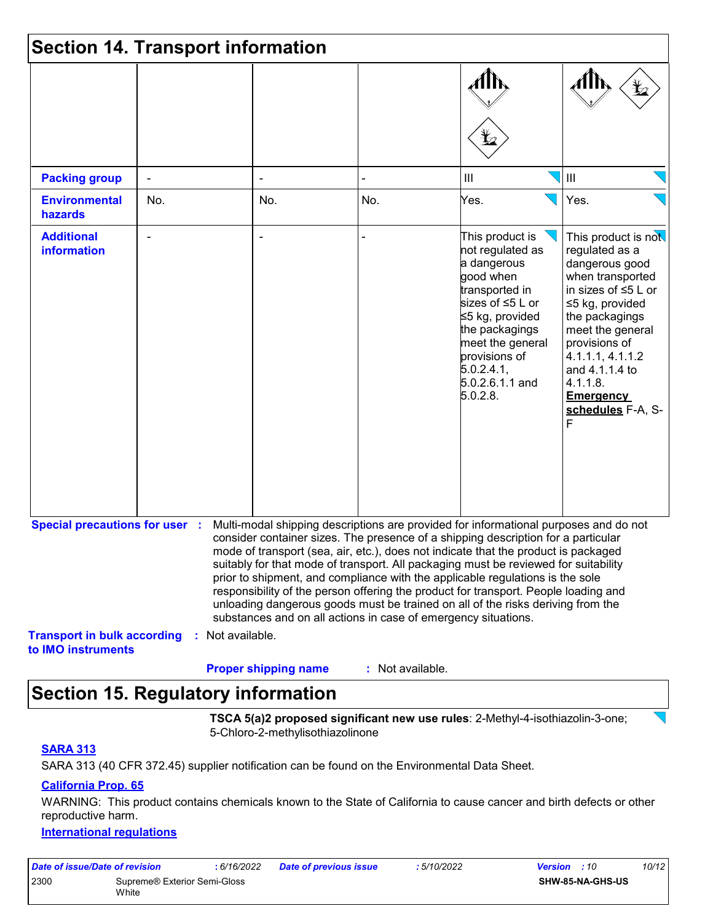|                                                                             | <b>Section 14. Transport information</b> |                             |                                                                |                                                                                                                                                                                                                                                                                                                                                                                                                                                                                                                                                                                                                   |                                                                                                                                                                                                                                                                                    |
|-----------------------------------------------------------------------------|------------------------------------------|-----------------------------|----------------------------------------------------------------|-------------------------------------------------------------------------------------------------------------------------------------------------------------------------------------------------------------------------------------------------------------------------------------------------------------------------------------------------------------------------------------------------------------------------------------------------------------------------------------------------------------------------------------------------------------------------------------------------------------------|------------------------------------------------------------------------------------------------------------------------------------------------------------------------------------------------------------------------------------------------------------------------------------|
|                                                                             |                                          |                             |                                                                |                                                                                                                                                                                                                                                                                                                                                                                                                                                                                                                                                                                                                   | $\mathbf{Y}_2$                                                                                                                                                                                                                                                                     |
| <b>Packing group</b>                                                        |                                          |                             |                                                                | $\mathop{\rm III}$                                                                                                                                                                                                                                                                                                                                                                                                                                                                                                                                                                                                | $\mathbf{III}$                                                                                                                                                                                                                                                                     |
| <b>Environmental</b><br>hazards                                             | No.                                      | No.                         | No.                                                            | Yes.                                                                                                                                                                                                                                                                                                                                                                                                                                                                                                                                                                                                              | Yes.                                                                                                                                                                                                                                                                               |
| <b>Additional</b><br><b>information</b>                                     |                                          |                             |                                                                | This product is<br>not regulated as<br>a dangerous<br>good when<br>transported in<br>sizes of ≤5 L or<br>≤5 kg, provided<br>the packagings<br>meet the general<br>provisions of<br>5.0.2.4.1,<br>5.0.2.6.1.1 and<br>5.0.2.8.                                                                                                                                                                                                                                                                                                                                                                                      | This product is not<br>regulated as a<br>dangerous good<br>when transported<br>in sizes of $\leq$ 5 L or<br>≤5 kg, provided<br>the packagings<br>meet the general<br>provisions of<br>4.1.1.1, 4.1.1.2<br>and 4.1.1.4 to<br>4.1.1.8.<br><b>Emergency</b><br>schedules F-A, S-<br>F |
| <b>Special precautions for user :</b><br><b>Transport in bulk according</b> | : Not available.                         |                             | substances and on all actions in case of emergency situations. | Multi-modal shipping descriptions are provided for informational purposes and do not<br>consider container sizes. The presence of a shipping description for a particular<br>mode of transport (sea, air, etc.), does not indicate that the product is packaged<br>suitably for that mode of transport. All packaging must be reviewed for suitability<br>prior to shipment, and compliance with the applicable regulations is the sole<br>responsibility of the person offering the product for transport. People loading and<br>unloading dangerous goods must be trained on all of the risks deriving from the |                                                                                                                                                                                                                                                                                    |
| to IMO instruments                                                          |                                          | <b>Proper shipping name</b> | : Not available.                                               |                                                                                                                                                                                                                                                                                                                                                                                                                                                                                                                                                                                                                   |                                                                                                                                                                                                                                                                                    |

### **Section 15. Regulatory information**

**TSCA 5(a)2 proposed significant new use rules**: 2-Methyl-4-isothiazolin-3-one; 5-Chloro-2-methylisothiazolinone

#### **SARA 313**

SARA 313 (40 CFR 372.45) supplier notification can be found on the Environmental Data Sheet.

#### **California Prop. 65**

WARNING: This product contains chemicals known to the State of California to cause cancer and birth defects or other reproductive harm.

#### **International regulations**

| Date of issue/Date of revision |                              | : 6/16/2022 | <b>Date of previous issue</b> | 5/10/2022 | <b>Version</b> : 10 |                         | 10/12 |
|--------------------------------|------------------------------|-------------|-------------------------------|-----------|---------------------|-------------------------|-------|
| 2300                           | Supreme® Exterior Semi-Gloss |             |                               |           |                     | <b>SHW-85-NA-GHS-US</b> |       |
|                                | White                        |             |                               |           |                     |                         |       |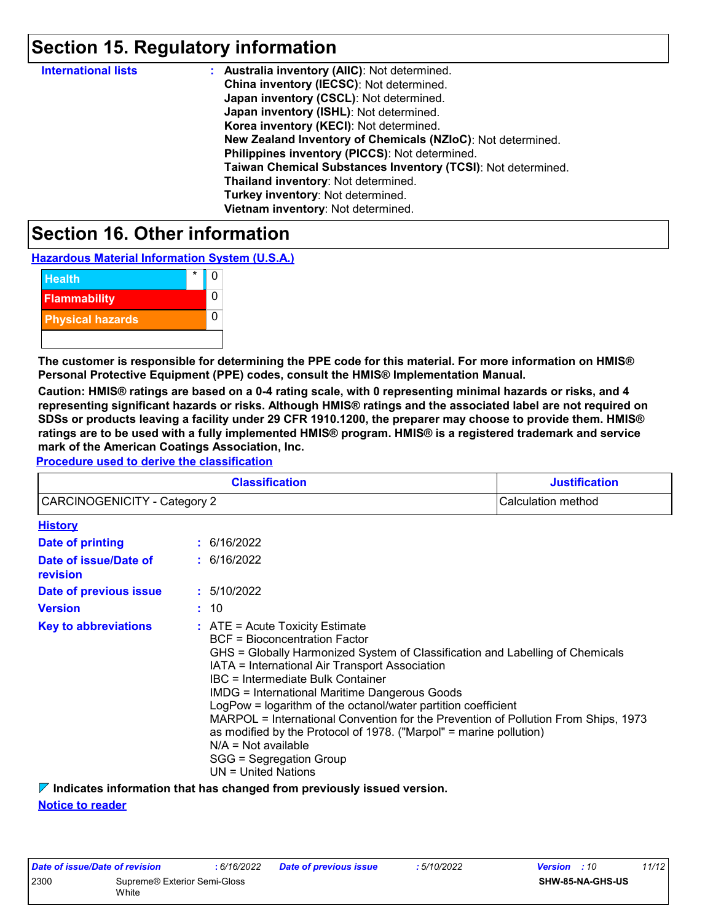### **Section 15. Regulatory information**

| <b>International lists</b> | : Australia inventory (AIIC): Not determined.                |
|----------------------------|--------------------------------------------------------------|
|                            | China inventory (IECSC): Not determined.                     |
|                            | Japan inventory (CSCL): Not determined.                      |
|                            | Japan inventory (ISHL): Not determined.                      |
|                            | Korea inventory (KECI): Not determined.                      |
|                            | New Zealand Inventory of Chemicals (NZIoC): Not determined.  |
|                            | Philippines inventory (PICCS): Not determined.               |
|                            | Taiwan Chemical Substances Inventory (TCSI): Not determined. |
|                            | Thailand inventory: Not determined.                          |
|                            | Turkey inventory: Not determined.                            |
|                            | Vietnam inventory: Not determined.                           |

### **Section 16. Other information**

**Hazardous Material Information System (U.S.A.)**



**The customer is responsible for determining the PPE code for this material. For more information on HMIS® Personal Protective Equipment (PPE) codes, consult the HMIS® Implementation Manual.**

**Caution: HMIS® ratings are based on a 0-4 rating scale, with 0 representing minimal hazards or risks, and 4 representing significant hazards or risks. Although HMIS® ratings and the associated label are not required on SDSs or products leaving a facility under 29 CFR 1910.1200, the preparer may choose to provide them. HMIS® ratings are to be used with a fully implemented HMIS® program. HMIS® is a registered trademark and service mark of the American Coatings Association, Inc.**

**Procedure used to derive the classification**

| <b>Classification</b>             |  |                                                                                                                                                                                                                                                                                                                                                                                                                                                                                                                                                                                                                     | <b>Justification</b> |
|-----------------------------------|--|---------------------------------------------------------------------------------------------------------------------------------------------------------------------------------------------------------------------------------------------------------------------------------------------------------------------------------------------------------------------------------------------------------------------------------------------------------------------------------------------------------------------------------------------------------------------------------------------------------------------|----------------------|
| CARCINOGENICITY - Category 2      |  |                                                                                                                                                                                                                                                                                                                                                                                                                                                                                                                                                                                                                     | Calculation method   |
| <b>History</b>                    |  |                                                                                                                                                                                                                                                                                                                                                                                                                                                                                                                                                                                                                     |                      |
| Date of printing                  |  | : 6/16/2022                                                                                                                                                                                                                                                                                                                                                                                                                                                                                                                                                                                                         |                      |
| Date of issue/Date of<br>revision |  | : 6/16/2022                                                                                                                                                                                                                                                                                                                                                                                                                                                                                                                                                                                                         |                      |
| Date of previous issue            |  | : 5/10/2022                                                                                                                                                                                                                                                                                                                                                                                                                                                                                                                                                                                                         |                      |
| <b>Version</b>                    |  | : 10                                                                                                                                                                                                                                                                                                                                                                                                                                                                                                                                                                                                                |                      |
| <b>Key to abbreviations</b>       |  | $:$ ATE = Acute Toxicity Estimate<br><b>BCF</b> = Bioconcentration Factor<br>GHS = Globally Harmonized System of Classification and Labelling of Chemicals<br>IATA = International Air Transport Association<br>IBC = Intermediate Bulk Container<br><b>IMDG</b> = International Maritime Dangerous Goods<br>LogPow = logarithm of the octanol/water partition coefficient<br>MARPOL = International Convention for the Prevention of Pollution From Ships, 1973<br>as modified by the Protocol of 1978. ("Marpol" = marine pollution)<br>$N/A = Not available$<br>SGG = Segregation Group<br>$UN = United Nations$ |                      |

**Indicates information that has changed from previously issued version.**

**Notice to reader**

| Date of issue/Date of revision |                              | : 6/16/2022 | Date of previous issue | : 5/10/2022 | <b>Version</b> : 10     | 11/12 |  |
|--------------------------------|------------------------------|-------------|------------------------|-------------|-------------------------|-------|--|
| 2300                           | Supreme® Exterior Semi-Gloss |             |                        |             | <b>SHW-85-NA-GHS-US</b> |       |  |
|                                | White                        |             |                        |             |                         |       |  |